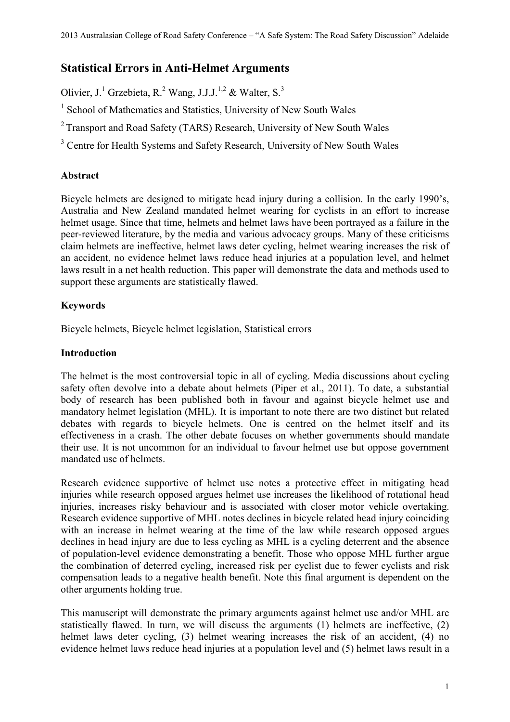# **Statistical Errors in Anti-Helmet Arguments**

Olivier, J.<sup>1</sup> Grzebieta, R.<sup>2</sup> Wang, J.J.J.<sup>1,2</sup> & Walter, S.<sup>3</sup>

<sup>1</sup> School of Mathematics and Statistics, University of New South Wales

<sup>2</sup> Transport and Road Safety (TARS) Research, University of New South Wales

<sup>3</sup> Centre for Health Systems and Safety Research, University of New South Wales

# **Abstract**

Bicycle helmets are designed to mitigate head injury during a collision. In the early 1990's, Australia and New Zealand mandated helmet wearing for cyclists in an effort to increase helmet usage. Since that time, helmets and helmet laws have been portrayed as a failure in the peer-reviewed literature, by the media and various advocacy groups. Many of these criticisms claim helmets are ineffective, helmet laws deter cycling, helmet wearing increases the risk of an accident, no evidence helmet laws reduce head injuries at a population level, and helmet laws result in a net health reduction. This paper will demonstrate the data and methods used to support these arguments are statistically flawed.

# **Keywords**

Bicycle helmets, Bicycle helmet legislation, Statistical errors

# **Introduction**

The helmet is the most controversial topic in all of cycling. Media discussions about cycling safety often devolve into a debate about helmets (Piper et al., 2011). To date, a substantial body of research has been published both in favour and against bicycle helmet use and mandatory helmet legislation (MHL). It is important to note there are two distinct but related debates with regards to bicycle helmets. One is centred on the helmet itself and its effectiveness in a crash. The other debate focuses on whether governments should mandate their use. It is not uncommon for an individual to favour helmet use but oppose government mandated use of helmets.

Research evidence supportive of helmet use notes a protective effect in mitigating head injuries while research opposed argues helmet use increases the likelihood of rotational head injuries, increases risky behaviour and is associated with closer motor vehicle overtaking. Research evidence supportive of MHL notes declines in bicycle related head injury coinciding with an increase in helmet wearing at the time of the law while research opposed argues declines in head injury are due to less cycling as MHL is a cycling deterrent and the absence of population-level evidence demonstrating a benefit. Those who oppose MHL further argue the combination of deterred cycling, increased risk per cyclist due to fewer cyclists and risk compensation leads to a negative health benefit. Note this final argument is dependent on the other arguments holding true.

This manuscript will demonstrate the primary arguments against helmet use and/or MHL are statistically flawed. In turn, we will discuss the arguments (1) helmets are ineffective, (2) helmet laws deter cycling, (3) helmet wearing increases the risk of an accident, (4) no evidence helmet laws reduce head injuries at a population level and (5) helmet laws result in a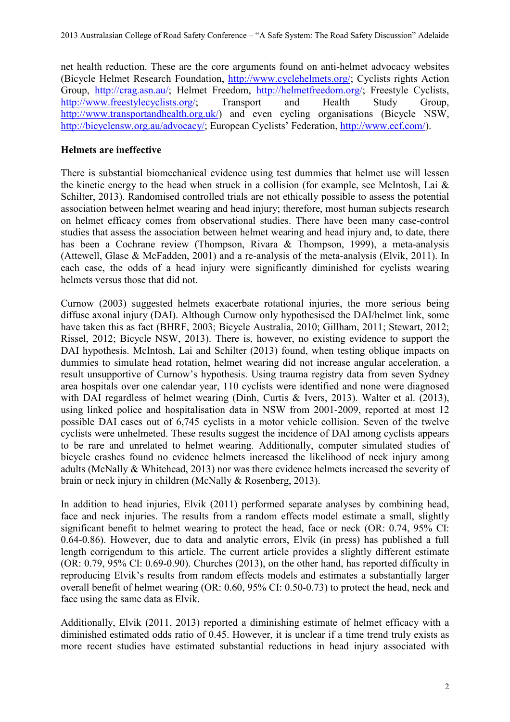net health reduction. These are the core arguments found on anti-helmet advocacy websites (Bicycle Helmet Research Foundation, [http://www.cyclehelmets.org/;](http://www.cyclehelmets.org/) Cyclists rights Action Group, <u>http://crag.asn.au/</u>; Helmet Freedom, <u>http://helmetfreedom.org/</u>; Freestyle Cyclists, http://www.freestylecyclists.org/; Transport and Health Study Group, [http://www.freestylecyclists.org/;](http://www.freestylecyclists.org/) Transport and Health Study Group, [http://www.transportandhealth.org.uk/\)](http://www.transportandhealth.org.uk/) and even cycling organisations (Bicycle NSW, [http://bicyclensw.org.au/advocacy/;](http://bicyclensw.org.au/advocacy/) European Cyclists' Federation, [http://www.ecf.com/\)](http://www.ecf.com/).

### **Helmets are ineffective**

There is substantial biomechanical evidence using test dummies that helmet use will lessen the kinetic energy to the head when struck in a collision (for example, see McIntosh, Lai  $\&$ Schilter, 2013). Randomised controlled trials are not ethically possible to assess the potential association between helmet wearing and head injury; therefore, most human subjects research on helmet efficacy comes from observational studies. There have been many case-control studies that assess the association between helmet wearing and head injury and, to date, there has been a Cochrane review (Thompson, Rivara & Thompson, 1999), a meta-analysis (Attewell, Glase & McFadden, 2001) and a re-analysis of the meta-analysis (Elvik, 2011). In each case, the odds of a head injury were significantly diminished for cyclists wearing helmets versus those that did not.

Curnow (2003) suggested helmets exacerbate rotational injuries, the more serious being diffuse axonal injury (DAI). Although Curnow only hypothesised the DAI/helmet link, some have taken this as fact (BHRF, 2003; Bicycle Australia, 2010; Gillham, 2011; Stewart, 2012; Rissel, 2012; Bicycle NSW, 2013). There is, however, no existing evidence to support the DAI hypothesis. McIntosh, Lai and Schilter (2013) found, when testing oblique impacts on dummies to simulate head rotation, helmet wearing did not increase angular acceleration, a result unsupportive of Curnow's hypothesis. Using trauma registry data from seven Sydney area hospitals over one calendar year, 110 cyclists were identified and none were diagnosed with DAI regardless of helmet wearing (Dinh, Curtis & Ivers, 2013). Walter et al. (2013), using linked police and hospitalisation data in NSW from 2001-2009, reported at most 12 possible DAI cases out of 6,745 cyclists in a motor vehicle collision. Seven of the twelve cyclists were unhelmeted. These results suggest the incidence of DAI among cyclists appears to be rare and unrelated to helmet wearing. Additionally, computer simulated studies of bicycle crashes found no evidence helmets increased the likelihood of neck injury among adults (McNally & Whitehead, 2013) nor was there evidence helmets increased the severity of brain or neck injury in children (McNally & Rosenberg, 2013).

In addition to head injuries, Elvik (2011) performed separate analyses by combining head, face and neck injuries. The results from a random effects model estimate a small, slightly significant benefit to helmet wearing to protect the head, face or neck (OR: 0.74, 95% CI: 0.64-0.86). However, due to data and analytic errors, Elvik (in press) has published a full length corrigendum to this article. The current article provides a slightly different estimate (OR: 0.79, 95% CI: 0.69-0.90). Churches (2013), on the other hand, has reported difficulty in reproducing Elvik's results from random effects models and estimates a substantially larger overall benefit of helmet wearing (OR: 0.60, 95% CI: 0.50-0.73) to protect the head, neck and face using the same data as Elvik.

Additionally, Elvik (2011, 2013) reported a diminishing estimate of helmet efficacy with a diminished estimated odds ratio of 0.45. However, it is unclear if a time trend truly exists as more recent studies have estimated substantial reductions in head injury associated with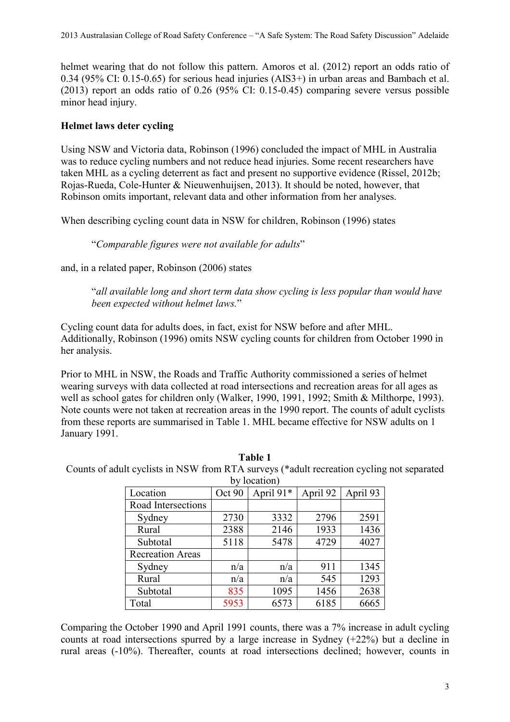helmet wearing that do not follow this pattern. Amoros et al. (2012) report an odds ratio of 0.34 (95% CI: 0.15-0.65) for serious head injuries (AIS3+) in urban areas and Bambach et al. (2013) report an odds ratio of 0.26 (95% CI: 0.15-0.45) comparing severe versus possible minor head injury.

### **Helmet laws deter cycling**

Using NSW and Victoria data, Robinson (1996) concluded the impact of MHL in Australia was to reduce cycling numbers and not reduce head injuries. Some recent researchers have taken MHL as a cycling deterrent as fact and present no supportive evidence (Rissel, 2012b; Rojas-Rueda, Cole-Hunter & Nieuwenhuijsen, 2013). It should be noted, however, that Robinson omits important, relevant data and other information from her analyses.

When describing cycling count data in NSW for children, Robinson (1996) states

"*Comparable figures were not available for adults*"

and, in a related paper, Robinson (2006) states

"*all available long and short term data show cycling is less popular than would have been expected without helmet laws.*"

Cycling count data for adults does, in fact, exist for NSW before and after MHL. Additionally, Robinson (1996) omits NSW cycling counts for children from October 1990 in her analysis.

Prior to MHL in NSW, the Roads and Traffic Authority commissioned a series of helmet wearing surveys with data collected at road intersections and recreation areas for all ages as well as school gates for children only (Walker, 1990, 1991, 1992; Smith & Milthorpe, 1993). Note counts were not taken at recreation areas in the 1990 report. The counts of adult cyclists from these reports are summarised in Table 1. MHL became effective for NSW adults on 1 January 1991.

**Table 1** Counts of adult cyclists in NSW from RTA surveys (\*adult recreation cycling not separated by location)

| Dy focation)            |        |           |          |          |  |  |  |
|-------------------------|--------|-----------|----------|----------|--|--|--|
| Location                | Oct 90 | April 91* | April 92 | April 93 |  |  |  |
| Road Intersections      |        |           |          |          |  |  |  |
| Sydney                  | 2730   | 3332      | 2796     | 2591     |  |  |  |
| Rural                   | 2388   | 2146      | 1933     | 1436     |  |  |  |
| Subtotal                | 5118   | 5478      | 4729     | 4027     |  |  |  |
| <b>Recreation Areas</b> |        |           |          |          |  |  |  |
| Sydney                  | n/a    | n/a       | 911      | 1345     |  |  |  |
| Rural                   | n/a    | n/a       | 545      | 1293     |  |  |  |
| Subtotal                | 835    | 1095      | 1456     | 2638     |  |  |  |
| Total                   | 5953   | 6573      | 6185     | 6665     |  |  |  |

Comparing the October 1990 and April 1991 counts, there was a 7% increase in adult cycling counts at road intersections spurred by a large increase in Sydney (+22%) but a decline in rural areas (-10%). Thereafter, counts at road intersections declined; however, counts in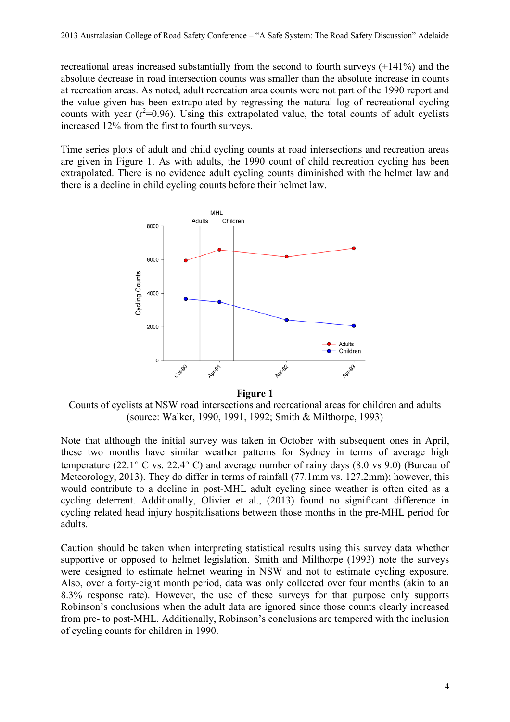recreational areas increased substantially from the second to fourth surveys (+141%) and the absolute decrease in road intersection counts was smaller than the absolute increase in counts at recreation areas. As noted, adult recreation area counts were not part of the 1990 report and the value given has been extrapolated by regressing the natural log of recreational cycling counts with year  $(r^2=0.96)$ . Using this extrapolated value, the total counts of adult cyclists increased 12% from the first to fourth surveys.

Time series plots of adult and child cycling counts at road intersections and recreation areas are given in Figure 1. As with adults, the 1990 count of child recreation cycling has been extrapolated. There is no evidence adult cycling counts diminished with the helmet law and there is a decline in child cycling counts before their helmet law.



Counts of cyclists at NSW road intersections and recreational areas for children and adults (source: Walker, 1990, 1991, 1992; Smith & Milthorpe, 1993)

Note that although the initial survey was taken in October with subsequent ones in April, these two months have similar weather patterns for Sydney in terms of average high temperature (22.1 $\degree$  C vs. 22.4 $\degree$  C) and average number of rainy days (8.0 vs 9.0) (Bureau of Meteorology, 2013). They do differ in terms of rainfall (77.1mm vs. 127.2mm); however, this would contribute to a decline in post-MHL adult cycling since weather is often cited as a cycling deterrent. Additionally, Olivier et al., (2013) found no significant difference in cycling related head injury hospitalisations between those months in the pre-MHL period for adults.

Caution should be taken when interpreting statistical results using this survey data whether supportive or opposed to helmet legislation. Smith and Milthorpe (1993) note the surveys were designed to estimate helmet wearing in NSW and not to estimate cycling exposure. Also, over a forty-eight month period, data was only collected over four months (akin to an 8.3% response rate). However, the use of these surveys for that purpose only supports Robinson's conclusions when the adult data are ignored since those counts clearly increased from pre- to post-MHL. Additionally, Robinson's conclusions are tempered with the inclusion of cycling counts for children in 1990.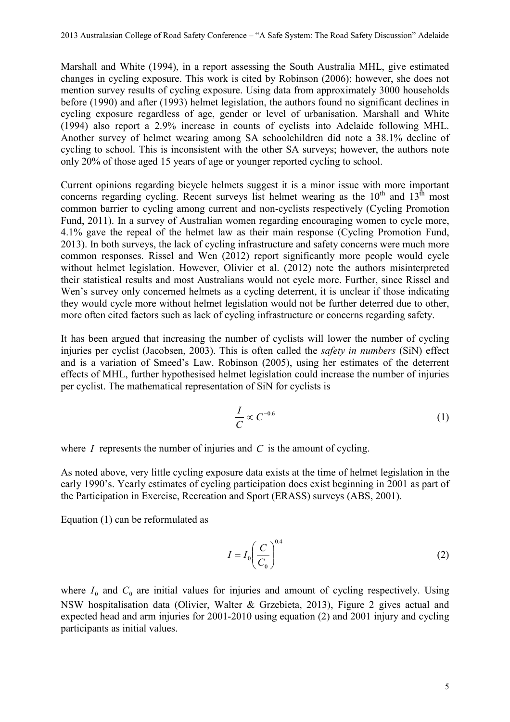Marshall and White (1994), in a report assessing the South Australia MHL, give estimated changes in cycling exposure. This work is cited by Robinson (2006); however, she does not mention survey results of cycling exposure. Using data from approximately 3000 households before (1990) and after (1993) helmet legislation, the authors found no significant declines in cycling exposure regardless of age, gender or level of urbanisation. Marshall and White (1994) also report a 2.9% increase in counts of cyclists into Adelaide following MHL. Another survey of helmet wearing among SA schoolchildren did note a 38.1% decline of cycling to school. This is inconsistent with the other SA surveys; however, the authors note only 20% of those aged 15 years of age or younger reported cycling to school.

Current opinions regarding bicycle helmets suggest it is a minor issue with more important concerns regarding cycling. Recent surveys list helmet wearing as the  $10<sup>th</sup>$  and  $13<sup>th</sup>$  most common barrier to cycling among current and non-cyclists respectively (Cycling Promotion Fund, 2011). In a survey of Australian women regarding encouraging women to cycle more, 4.1% gave the repeal of the helmet law as their main response (Cycling Promotion Fund, 2013). In both surveys, the lack of cycling infrastructure and safety concerns were much more common responses. Rissel and Wen (2012) report significantly more people would cycle without helmet legislation. However, Olivier et al. (2012) note the authors misinterpreted their statistical results and most Australians would not cycle more. Further, since Rissel and Wen's survey only concerned helmets as a cycling deterrent, it is unclear if those indicating they would cycle more without helmet legislation would not be further deterred due to other, more often cited factors such as lack of cycling infrastructure or concerns regarding safety.

It has been argued that increasing the number of cyclists will lower the number of cycling injuries per cyclist (Jacobsen, 2003). This is often called the *safety in numbers* (SiN) effect and is a variation of Smeed's Law. Robinson (2005), using her estimates of the deterrent effects of MHL, further hypothesised helmet legislation could increase the number of injuries per cyclist. The mathematical representation of SiN for cyclists is

$$
\frac{I}{C} \propto C^{-0.6} \tag{1}
$$

where *I* represents the number of injuries and *C* is the amount of cycling.

As noted above, very little cycling exposure data exists at the time of helmet legislation in the early 1990's. Yearly estimates of cycling participation does exist beginning in 2001 as part of the Participation in Exercise, Recreation and Sport (ERASS) surveys (ABS, 2001).

Equation (1) can be reformulated as

$$
I = I_0 \left(\frac{C}{C_0}\right)^{0.4} \tag{2}
$$

where  $I_0$  and  $C_0$  are initial values for injuries and amount of cycling respectively. Using NSW hospitalisation data (Olivier, Walter & Grzebieta, 2013), Figure 2 gives actual and expected head and arm injuries for 2001-2010 using equation (2) and 2001 injury and cycling participants as initial values.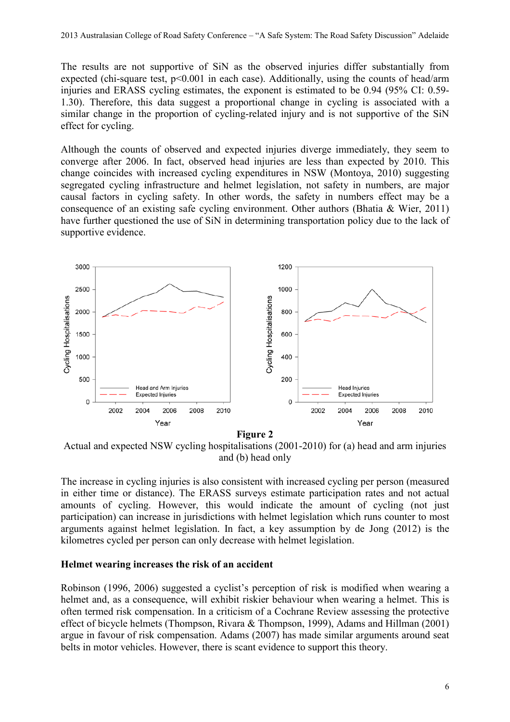The results are not supportive of SiN as the observed injuries differ substantially from expected (chi-square test, p<0.001 in each case). Additionally, using the counts of head/arm injuries and ERASS cycling estimates, the exponent is estimated to be 0.94 (95% CI: 0.59- 1.30). Therefore, this data suggest a proportional change in cycling is associated with a similar change in the proportion of cycling-related injury and is not supportive of the SiN effect for cycling.

Although the counts of observed and expected injuries diverge immediately, they seem to converge after 2006. In fact, observed head injuries are less than expected by 2010. This change coincides with increased cycling expenditures in NSW (Montoya, 2010) suggesting segregated cycling infrastructure and helmet legislation, not safety in numbers, are major causal factors in cycling safety. In other words, the safety in numbers effect may be a consequence of an existing safe cycling environment. Other authors (Bhatia & Wier, 2011) have further questioned the use of SiN in determining transportation policy due to the lack of supportive evidence.



**Figure 2**

Actual and expected NSW cycling hospitalisations (2001-2010) for (a) head and arm injuries and (b) head only

The increase in cycling injuries is also consistent with increased cycling per person (measured in either time or distance). The ERASS surveys estimate participation rates and not actual amounts of cycling. However, this would indicate the amount of cycling (not just participation) can increase in jurisdictions with helmet legislation which runs counter to most arguments against helmet legislation. In fact, a key assumption by de Jong (2012) is the kilometres cycled per person can only decrease with helmet legislation.

#### **Helmet wearing increases the risk of an accident**

Robinson (1996, 2006) suggested a cyclist's perception of risk is modified when wearing a helmet and, as a consequence, will exhibit riskier behaviour when wearing a helmet. This is often termed risk compensation. In a criticism of a Cochrane Review assessing the protective effect of bicycle helmets (Thompson, Rivara & Thompson, 1999), Adams and Hillman (2001) argue in favour of risk compensation. Adams (2007) has made similar arguments around seat belts in motor vehicles. However, there is scant evidence to support this theory.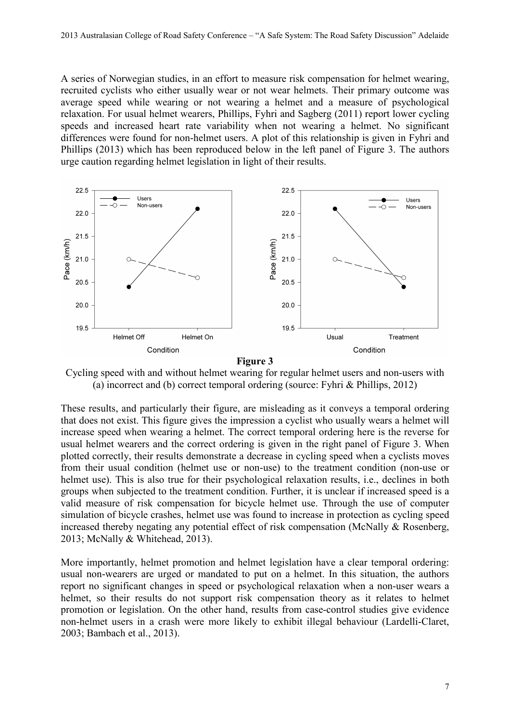A series of Norwegian studies, in an effort to measure risk compensation for helmet wearing, recruited cyclists who either usually wear or not wear helmets. Their primary outcome was average speed while wearing or not wearing a helmet and a measure of psychological relaxation. For usual helmet wearers, Phillips, Fyhri and Sagberg (2011) report lower cycling speeds and increased heart rate variability when not wearing a helmet. No significant differences were found for non-helmet users. A plot of this relationship is given in Fyhri and Phillips (2013) which has been reproduced below in the left panel of Figure 3. The authors urge caution regarding helmet legislation in light of their results.



**Figure 3**

Cycling speed with and without helmet wearing for regular helmet users and non-users with (a) incorrect and (b) correct temporal ordering (source: Fyhri & Phillips, 2012)

These results, and particularly their figure, are misleading as it conveys a temporal ordering that does not exist. This figure gives the impression a cyclist who usually wears a helmet will increase speed when wearing a helmet. The correct temporal ordering here is the reverse for usual helmet wearers and the correct ordering is given in the right panel of Figure 3. When plotted correctly, their results demonstrate a decrease in cycling speed when a cyclists moves from their usual condition (helmet use or non-use) to the treatment condition (non-use or helmet use). This is also true for their psychological relaxation results, i.e., declines in both groups when subjected to the treatment condition. Further, it is unclear if increased speed is a valid measure of risk compensation for bicycle helmet use. Through the use of computer simulation of bicycle crashes, helmet use was found to increase in protection as cycling speed increased thereby negating any potential effect of risk compensation (McNally & Rosenberg, 2013; McNally & Whitehead, 2013).

More importantly, helmet promotion and helmet legislation have a clear temporal ordering: usual non-wearers are urged or mandated to put on a helmet. In this situation, the authors report no significant changes in speed or psychological relaxation when a non-user wears a helmet, so their results do not support risk compensation theory as it relates to helmet promotion or legislation. On the other hand, results from case-control studies give evidence non-helmet users in a crash were more likely to exhibit illegal behaviour (Lardelli-Claret, 2003; Bambach et al., 2013).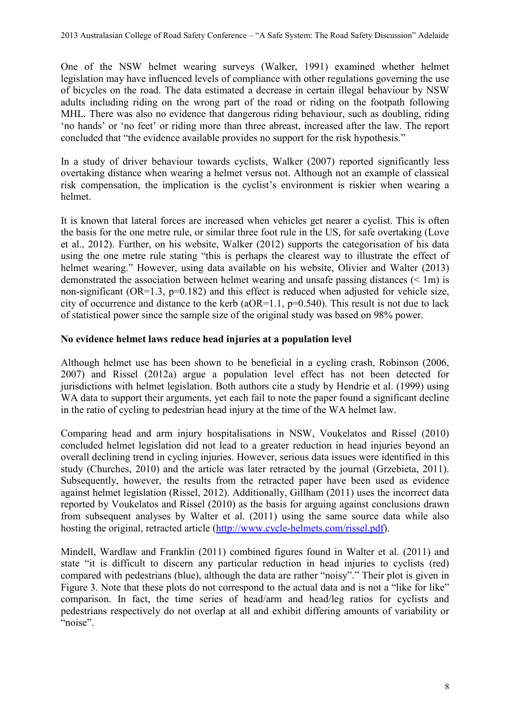One of the NSW helmet wearing surveys (Walker, 1991) examined whether helmet legislation may have influenced levels of compliance with other regulations governing the use of bicycles on the road. The data estimated a decrease in certain illegal behaviour by NSW adults including riding on the wrong part of the road or riding on the footpath following MHL. There was also no evidence that dangerous riding behaviour, such as doubling, riding 'no hands' or 'no feet' or riding more than three abreast, increased after the law. The report concluded that "the evidence available provides no support for the risk hypothesis."

In a study of driver behaviour towards cyclists, Walker (2007) reported significantly less overtaking distance when wearing a helmet versus not. Although not an example of classical risk compensation, the implication is the cyclist's environment is riskier when wearing a helmet.

It is known that lateral forces are increased when vehicles get nearer a cyclist. This is often the basis for the one metre rule, or similar three foot rule in the US, for safe overtaking (Love et al., 2012). Further, on his website, Walker (2012) supports the categorisation of his data using the one metre rule stating "this is perhaps the clearest way to illustrate the effect of helmet wearing." However, using data available on his website, Olivier and Walter (2013) demonstrated the association between helmet wearing and unsafe passing distances (< 1m) is non-significant (OR=1.3, p=0.182) and this effect is reduced when adjusted for vehicle size, city of occurrence and distance to the kerb ( $aOR=1.1$ ,  $p=0.540$ ). This result is not due to lack of statistical power since the sample size of the original study was based on 98% power.

#### **No evidence helmet laws reduce head injuries at a population level**

Although helmet use has been shown to be beneficial in a cycling crash, Robinson (2006, 2007) and Rissel (2012a) argue a population level effect has not been detected for jurisdictions with helmet legislation. Both authors cite a study by Hendrie et al. (1999) using WA data to support their arguments, yet each fail to note the paper found a significant decline in the ratio of cycling to pedestrian head injury at the time of the WA helmet law.

Comparing head and arm injury hospitalisations in NSW, Voukelatos and Rissel (2010) concluded helmet legislation did not lead to a greater reduction in head injuries beyond an overall declining trend in cycling injuries. However, serious data issues were identified in this study (Churches, 2010) and the article was later retracted by the journal (Grzebieta, 2011). Subsequently, however, the results from the retracted paper have been used as evidence against helmet legislation (Rissel, 2012). Additionally, Gillham (2011) uses the incorrect data reported by Voukelatos and Rissel (2010) as the basis for arguing against conclusions drawn from subsequent analyses by Walter et al. (2011) using the same source data while also hosting the original, retracted article [\(http://www.cycle-helmets.com/rissel.pdf\)](http://www.cycle-helmets.com/rissel.pdf).

Mindell, Wardlaw and Franklin (2011) combined figures found in Walter et al. (2011) and state "it is difficult to discern any particular reduction in head injuries to cyclists (red) compared with pedestrians (blue), although the data are rather "noisy"." Their plot is given in Figure 3. Note that these plots do not correspond to the actual data and is not a "like for like" comparison. In fact, the time series of head/arm and head/leg ratios for cyclists and pedestrians respectively do not overlap at all and exhibit differing amounts of variability or "noise".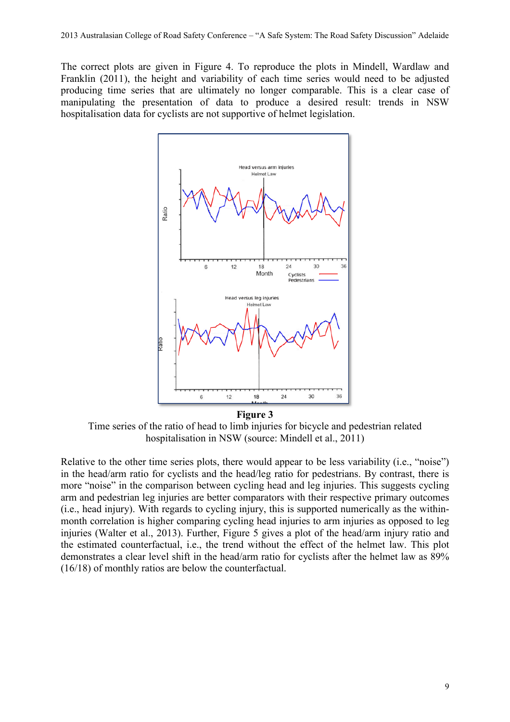The correct plots are given in Figure 4. To reproduce the plots in Mindell, Wardlaw and Franklin (2011), the height and variability of each time series would need to be adjusted producing time series that are ultimately no longer comparable. This is a clear case of manipulating the presentation of data to produce a desired result: trends in NSW hospitalisation data for cyclists are not supportive of helmet legislation.



Time series of the ratio of head to limb injuries for bicycle and pedestrian related hospitalisation in NSW (source: Mindell et al., 2011)

Relative to the other time series plots, there would appear to be less variability (i.e., "noise") in the head/arm ratio for cyclists and the head/leg ratio for pedestrians. By contrast, there is more "noise" in the comparison between cycling head and leg injuries. This suggests cycling arm and pedestrian leg injuries are better comparators with their respective primary outcomes (i.e., head injury). With regards to cycling injury, this is supported numerically as the withinmonth correlation is higher comparing cycling head injuries to arm injuries as opposed to leg injuries (Walter et al., 2013). Further, Figure 5 gives a plot of the head/arm injury ratio and the estimated counterfactual, i.e., the trend without the effect of the helmet law. This plot demonstrates a clear level shift in the head/arm ratio for cyclists after the helmet law as 89% (16/18) of monthly ratios are below the counterfactual.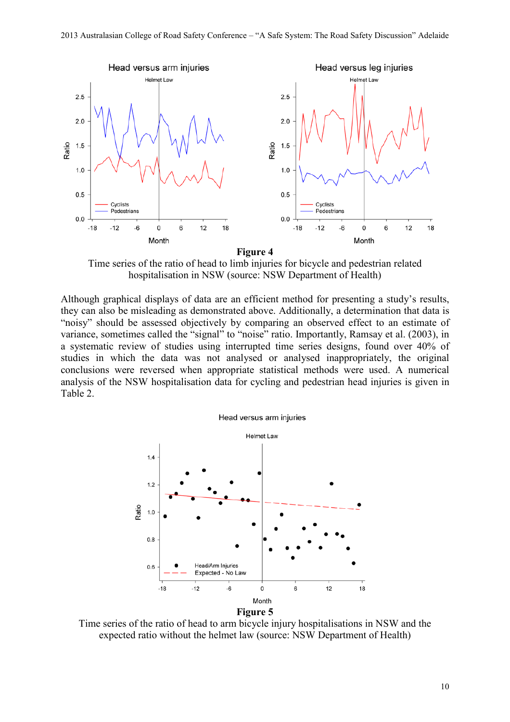

**Figure 4**

Time series of the ratio of head to limb injuries for bicycle and pedestrian related hospitalisation in NSW (source: NSW Department of Health)

Although graphical displays of data are an efficient method for presenting a study's results, they can also be misleading as demonstrated above. Additionally, a determination that data is "noisy" should be assessed objectively by comparing an observed effect to an estimate of variance, sometimes called the "signal" to "noise" ratio. Importantly, Ramsay et al. (2003), in a systematic review of studies using interrupted time series designs, found over 40% of studies in which the data was not analysed or analysed inappropriately, the original conclusions were reversed when appropriate statistical methods were used. A numerical analysis of the NSW hospitalisation data for cycling and pedestrian head injuries is given in Table 2.



Time series of the ratio of head to arm bicycle injury hospitalisations in NSW and the expected ratio without the helmet law (source: NSW Department of Health)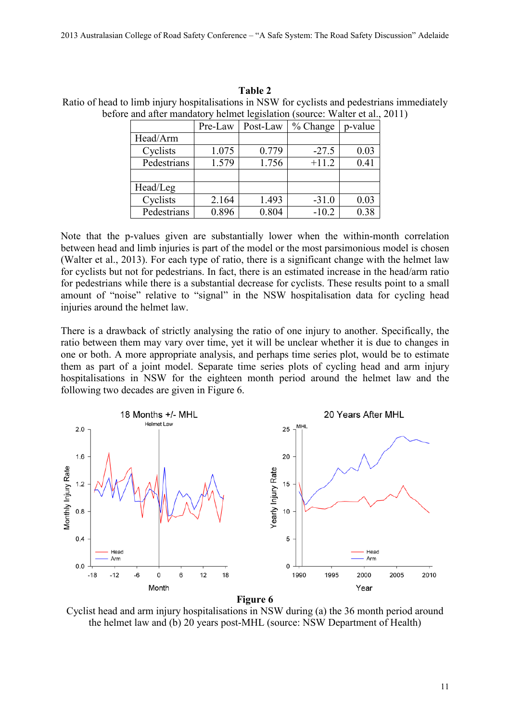# **Table 2**

Ratio of head to limb injury hospitalisations in NSW for cyclists and pedestrians immediately before and after mandatory helmet legislation (source: Walter et al., 2011)

|             | Pre-Law | Post-Law | % Change | p-value |
|-------------|---------|----------|----------|---------|
| Head/Arm    |         |          |          |         |
| Cyclists    | 1.075   | 0.779    | $-27.5$  | 0.03    |
| Pedestrians | 1.579   | 1.756    | $+11.2$  | 0.41    |
|             |         |          |          |         |
| Head/Leg    |         |          |          |         |
| Cyclists    | 2.164   | 1.493    | $-31.0$  | 0.03    |
| Pedestrians | 0.896   | 0.804    | $-10.2$  | 0.38    |

Note that the p-values given are substantially lower when the within-month correlation between head and limb injuries is part of the model or the most parsimonious model is chosen (Walter et al., 2013). For each type of ratio, there is a significant change with the helmet law for cyclists but not for pedestrians. In fact, there is an estimated increase in the head/arm ratio for pedestrians while there is a substantial decrease for cyclists. These results point to a small amount of "noise" relative to "signal" in the NSW hospitalisation data for cycling head injuries around the helmet law.

There is a drawback of strictly analysing the ratio of one injury to another. Specifically, the ratio between them may vary over time, yet it will be unclear whether it is due to changes in one or both. A more appropriate analysis, and perhaps time series plot, would be to estimate them as part of a joint model. Separate time series plots of cycling head and arm injury hospitalisations in NSW for the eighteen month period around the helmet law and the following two decades are given in Figure 6.



**Figure 6**

Cyclist head and arm injury hospitalisations in NSW during (a) the 36 month period around the helmet law and (b) 20 years post-MHL (source: NSW Department of Health)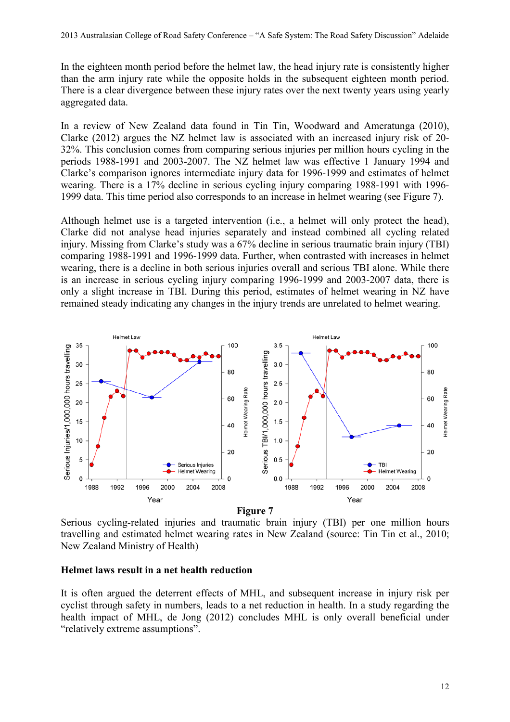In the eighteen month period before the helmet law, the head injury rate is consistently higher than the arm injury rate while the opposite holds in the subsequent eighteen month period. There is a clear divergence between these injury rates over the next twenty years using yearly aggregated data.

In a review of New Zealand data found in Tin Tin, Woodward and Ameratunga (2010), Clarke (2012) argues the NZ helmet law is associated with an increased injury risk of 20- 32%. This conclusion comes from comparing serious injuries per million hours cycling in the periods 1988-1991 and 2003-2007. The NZ helmet law was effective 1 January 1994 and Clarke's comparison ignores intermediate injury data for 1996-1999 and estimates of helmet wearing. There is a 17% decline in serious cycling injury comparing 1988-1991 with 1996- 1999 data. This time period also corresponds to an increase in helmet wearing (see Figure 7).

Although helmet use is a targeted intervention (i.e., a helmet will only protect the head), Clarke did not analyse head injuries separately and instead combined all cycling related injury. Missing from Clarke's study was a 67% decline in serious traumatic brain injury (TBI) comparing 1988-1991 and 1996-1999 data. Further, when contrasted with increases in helmet wearing, there is a decline in both serious injuries overall and serious TBI alone. While there is an increase in serious cycling injury comparing 1996-1999 and 2003-2007 data, there is only a slight increase in TBI. During this period, estimates of helmet wearing in NZ have remained steady indicating any changes in the injury trends are unrelated to helmet wearing.



Serious cycling-related injuries and traumatic brain injury (TBI) per one million hours travelling and estimated helmet wearing rates in New Zealand (source: Tin Tin et al., 2010; New Zealand Ministry of Health)

#### **Helmet laws result in a net health reduction**

It is often argued the deterrent effects of MHL, and subsequent increase in injury risk per cyclist through safety in numbers, leads to a net reduction in health. In a study regarding the health impact of MHL, de Jong (2012) concludes MHL is only overall beneficial under "relatively extreme assumptions".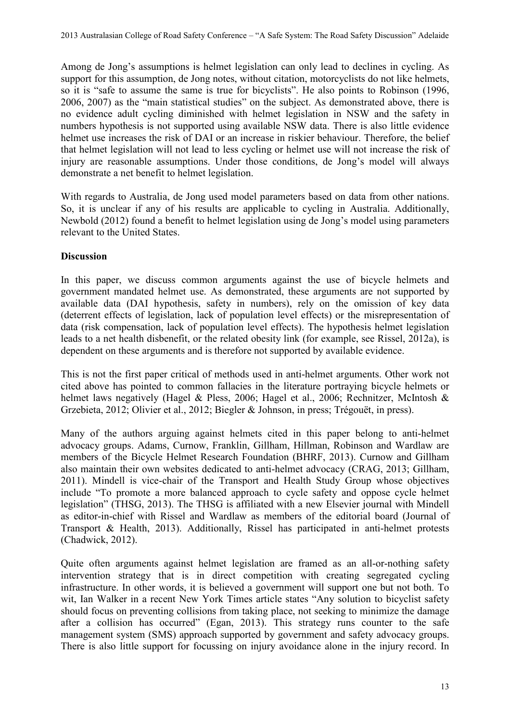Among de Jong's assumptions is helmet legislation can only lead to declines in cycling. As support for this assumption, de Jong notes, without citation, motorcyclists do not like helmets, so it is "safe to assume the same is true for bicyclists". He also points to Robinson (1996, 2006, 2007) as the "main statistical studies" on the subject. As demonstrated above, there is no evidence adult cycling diminished with helmet legislation in NSW and the safety in numbers hypothesis is not supported using available NSW data. There is also little evidence helmet use increases the risk of DAI or an increase in riskier behaviour. Therefore, the belief that helmet legislation will not lead to less cycling or helmet use will not increase the risk of injury are reasonable assumptions. Under those conditions, de Jong's model will always demonstrate a net benefit to helmet legislation.

With regards to Australia, de Jong used model parameters based on data from other nations. So, it is unclear if any of his results are applicable to cycling in Australia. Additionally, Newbold (2012) found a benefit to helmet legislation using de Jong's model using parameters relevant to the United States.

#### **Discussion**

In this paper, we discuss common arguments against the use of bicycle helmets and government mandated helmet use. As demonstrated, these arguments are not supported by available data (DAI hypothesis, safety in numbers), rely on the omission of key data (deterrent effects of legislation, lack of population level effects) or the misrepresentation of data (risk compensation, lack of population level effects). The hypothesis helmet legislation leads to a net health disbenefit, or the related obesity link (for example, see Rissel, 2012a), is dependent on these arguments and is therefore not supported by available evidence.

This is not the first paper critical of methods used in anti-helmet arguments. Other work not cited above has pointed to common fallacies in the literature portraying bicycle helmets or helmet laws negatively (Hagel & Pless, 2006; Hagel et al., 2006; Rechnitzer, McIntosh & Grzebieta, 2012; Olivier et al., 2012; Biegler & Johnson, in press; Trégouët, in press).

Many of the authors arguing against helmets cited in this paper belong to anti-helmet advocacy groups. Adams, Curnow, Franklin, Gillham, Hillman, Robinson and Wardlaw are members of the Bicycle Helmet Research Foundation (BHRF, 2013). Curnow and Gillham also maintain their own websites dedicated to anti-helmet advocacy (CRAG, 2013; Gillham, 2011). Mindell is vice-chair of the Transport and Health Study Group whose objectives include "To promote a more balanced approach to cycle safety and oppose cycle helmet legislation" (THSG, 2013). The THSG is affiliated with a new Elsevier journal with Mindell as editor-in-chief with Rissel and Wardlaw as members of the editorial board (Journal of Transport & Health, 2013). Additionally, Rissel has participated in anti-helmet protests (Chadwick, 2012).

Quite often arguments against helmet legislation are framed as an all-or-nothing safety intervention strategy that is in direct competition with creating segregated cycling infrastructure. In other words, it is believed a government will support one but not both. To wit, Ian Walker in a recent New York Times article states "Any solution to bicyclist safety should focus on preventing collisions from taking place, not seeking to minimize the damage after a collision has occurred" (Egan, 2013). This strategy runs counter to the safe management system (SMS) approach supported by government and safety advocacy groups. There is also little support for focussing on injury avoidance alone in the injury record. In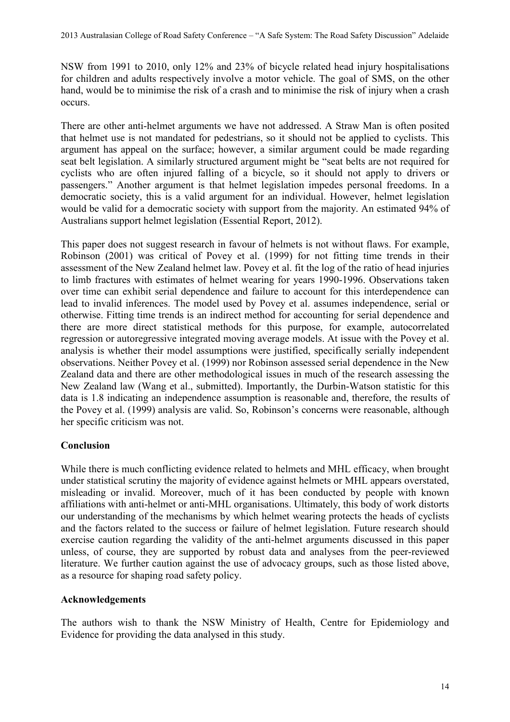NSW from 1991 to 2010, only 12% and 23% of bicycle related head injury hospitalisations for children and adults respectively involve a motor vehicle. The goal of SMS, on the other hand, would be to minimise the risk of a crash and to minimise the risk of injury when a crash occurs.

There are other anti-helmet arguments we have not addressed. A Straw Man is often posited that helmet use is not mandated for pedestrians, so it should not be applied to cyclists. This argument has appeal on the surface; however, a similar argument could be made regarding seat belt legislation. A similarly structured argument might be "seat belts are not required for cyclists who are often injured falling of a bicycle, so it should not apply to drivers or passengers." Another argument is that helmet legislation impedes personal freedoms. In a democratic society, this is a valid argument for an individual. However, helmet legislation would be valid for a democratic society with support from the majority. An estimated 94% of Australians support helmet legislation (Essential Report, 2012).

This paper does not suggest research in favour of helmets is not without flaws. For example, Robinson (2001) was critical of Povey et al. (1999) for not fitting time trends in their assessment of the New Zealand helmet law. Povey et al. fit the log of the ratio of head injuries to limb fractures with estimates of helmet wearing for years 1990-1996. Observations taken over time can exhibit serial dependence and failure to account for this interdependence can lead to invalid inferences. The model used by Povey et al. assumes independence, serial or otherwise. Fitting time trends is an indirect method for accounting for serial dependence and there are more direct statistical methods for this purpose, for example, autocorrelated regression or autoregressive integrated moving average models. At issue with the Povey et al. analysis is whether their model assumptions were justified, specifically serially independent observations. Neither Povey et al. (1999) nor Robinson assessed serial dependence in the New Zealand data and there are other methodological issues in much of the research assessing the New Zealand law (Wang et al., submitted). Importantly, the Durbin-Watson statistic for this data is 1.8 indicating an independence assumption is reasonable and, therefore, the results of the Povey et al. (1999) analysis are valid. So, Robinson's concerns were reasonable, although her specific criticism was not.

### **Conclusion**

While there is much conflicting evidence related to helmets and MHL efficacy, when brought under statistical scrutiny the majority of evidence against helmets or MHL appears overstated, misleading or invalid. Moreover, much of it has been conducted by people with known affiliations with anti-helmet or anti-MHL organisations. Ultimately, this body of work distorts our understanding of the mechanisms by which helmet wearing protects the heads of cyclists and the factors related to the success or failure of helmet legislation. Future research should exercise caution regarding the validity of the anti-helmet arguments discussed in this paper unless, of course, they are supported by robust data and analyses from the peer-reviewed literature. We further caution against the use of advocacy groups, such as those listed above, as a resource for shaping road safety policy.

### **Acknowledgements**

The authors wish to thank the NSW Ministry of Health, Centre for Epidemiology and Evidence for providing the data analysed in this study.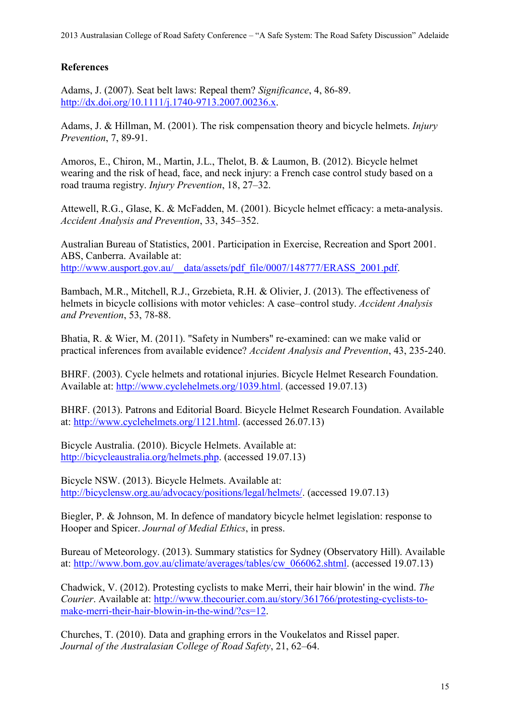# **References**

Adams, J. (2007). Seat belt laws: Repeal them? *Significance*, 4, 86-89. [http://dx.doi.org/10.1111/j.1740-9713.2007.00236.x.](http://dx.doi.org/10.1111/j.1740-9713.2007.00236.x)

Adams, J. & Hillman, M. (2001). The risk compensation theory and bicycle helmets. *Injury Prevention*, 7, 89-91.

Amoros, E., Chiron, M., Martin, J.L., Thelot, B. & Laumon, B. (2012). Bicycle helmet wearing and the risk of head, face, and neck injury: a French case control study based on a road trauma registry. *Injury Prevention*, 18, 27–32.

Attewell, R.G., Glase, K. & McFadden, M. (2001). Bicycle helmet efficacy: a meta-analysis. *Accident Analysis and Prevention*, 33, 345–352.

Australian Bureau of Statistics, 2001. Participation in Exercise, Recreation and Sport 2001. ABS, Canberra. Available at: [http://www.ausport.gov.au/\\_\\_data/assets/pdf\\_file/0007/148777/ERASS\\_2001.pdf.](http://www.ausport.gov.au/__data/assets/pdf_file/0007/148777/ERASS_2001.pdf)

Bambach, M.R., Mitchell, R.J., Grzebieta, R.H. & Olivier, J. (2013). The effectiveness of helmets in bicycle collisions with motor vehicles: A case–control study. *Accident Analysis and Prevention*, 53, 78-88.

Bhatia, R. & Wier, M. (2011). "Safety in Numbers" re-examined: can we make valid or practical inferences from available evidence? *Accident Analysis and Prevention*, 43, 235-240.

BHRF. (2003). Cycle helmets and rotational injuries. Bicycle Helmet Research Foundation. Available at: [http://www.cyclehelmets.org/1039.html.](http://www.cyclehelmets.org/1039.html) (accessed 19.07.13)

BHRF. (2013). Patrons and Editorial Board. Bicycle Helmet Research Foundation. Available at: [http://www.cyclehelmets.org/1121.html.](http://www.cyclehelmets.org/1121.html) (accessed 26.07.13)

Bicycle Australia. (2010). Bicycle Helmets. Available at: [http://bicycleaustralia.org/helmets.php.](http://bicycleaustralia.org/helmets.php) (accessed 19.07.13)

Bicycle NSW. (2013). Bicycle Helmets. Available at: [http://bicyclensw.org.au/advocacy/positions/legal/helmets/.](http://bicyclensw.org.au/advocacy/positions/legal/helmets/) (accessed 19.07.13)

Biegler, P. & Johnson, M. In defence of mandatory bicycle helmet legislation: response to Hooper and Spicer. *Journal of Medial Ethics*, in press.

Bureau of Meteorology. (2013). Summary statistics for Sydney (Observatory Hill). Available at: [http://www.bom.gov.au/climate/averages/tables/cw\\_066062.shtml.](http://www.bom.gov.au/climate/averages/tables/cw_066062.shtml) (accessed 19.07.13)

Chadwick, V. (2012). Protesting cyclists to make Merri, their hair blowin' in the wind. *The Courier*. Available at: [http://www.thecourier.com.au/story/361766/protesting-cyclists-to](http://www.thecourier.com.au/story/361766/protesting-cyclists-to-make-merri-their-hair-blowin-in-the-wind/?cs=12)[make-merri-their-hair-blowin-in-the-wind/?cs=12.](http://www.thecourier.com.au/story/361766/protesting-cyclists-to-make-merri-their-hair-blowin-in-the-wind/?cs=12)

Churches, T. (2010). Data and graphing errors in the Voukelatos and Rissel paper. *Journal of the Australasian College of Road Safety*, 21, 62–64.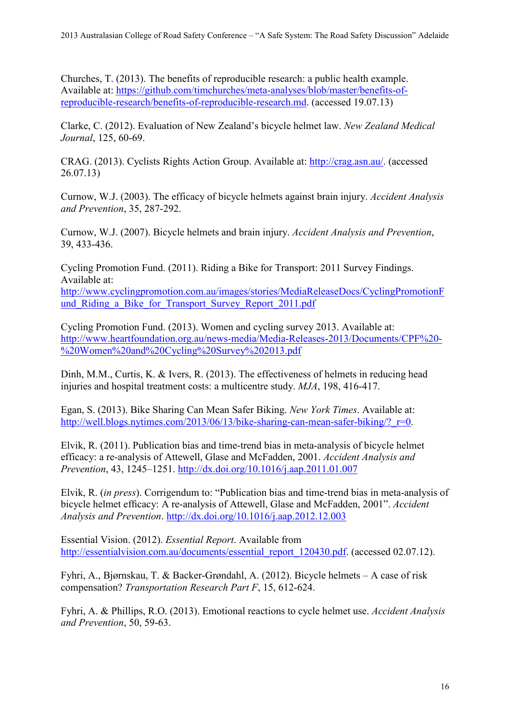Churches, T. (2013). The benefits of reproducible research: a public health example. Available at: [https://github.com/timchurches/meta-analyses/blob/master/benefits-of](https://github.com/timchurches/meta-analyses/blob/master/benefits-of-reproducible-research/benefits-of-reproducible-research.md)[reproducible-research/benefits-of-reproducible-research.md.](https://github.com/timchurches/meta-analyses/blob/master/benefits-of-reproducible-research/benefits-of-reproducible-research.md) (accessed 19.07.13)

Clarke, C. (2012). Evaluation of New Zealand's bicycle helmet law. *New Zealand Medical Journal*, 125, 60-69.

CRAG. (2013). Cyclists Rights Action Group. Available at: [http://crag.asn.au/.](http://crag.asn.au/) (accessed 26.07.13)

Curnow, W.J. (2003). The efficacy of bicycle helmets against brain injury. *Accident Analysis and Prevention*, 35, 287-292.

Curnow, W.J. (2007). Bicycle helmets and brain injury. *Accident Analysis and Prevention*, 39, 433-436.

Cycling Promotion Fund. (2011). Riding a Bike for Transport: 2011 Survey Findings. Available at:

[http://www.cyclingpromotion.com.au/images/stories/MediaReleaseDocs/CyclingPromotionF](http://www.cyclingpromotion.com.au/images/stories/MediaReleaseDocs/CyclingPromotionFund_Riding_a_Bike_for_Transport_Survey_Report_2011.pdf) und Riding a Bike for Transport Survey Report 2011.pdf

Cycling Promotion Fund. (2013). Women and cycling survey 2013. Available at: [http://www.heartfoundation.org.au/news-media/Media-Releases-2013/Documents/CPF%20-](http://www.heartfoundation.org.au/news-media/Media-Releases-2013/Documents/CPF%20-%20Women%20and%20Cycling%20Survey%202013.pdf) [%20Women%20and%20Cycling%20Survey%202013.pdf](http://www.heartfoundation.org.au/news-media/Media-Releases-2013/Documents/CPF%20-%20Women%20and%20Cycling%20Survey%202013.pdf)

Dinh, M.M., Curtis, K. & Ivers, R. (2013). The effectiveness of helmets in reducing head injuries and hospital treatment costs: a multicentre study. *MJA*, 198, 416-417.

Egan, S. (2013). Bike Sharing Can Mean Safer Biking. *New York Times*. Available at: http://well.blogs.nytimes.com/2013/06/13/bike-sharing-can-mean-safer-biking/? r=0.

Elvik, R. (2011). Publication bias and time-trend bias in meta-analysis of bicycle helmet efficacy: a re-analysis of Attewell, Glase and McFadden, 2001. *Accident Analysis and Prevention*, 43, 1245–1251. <http://dx.doi.org/10.1016/j.aap.2011.01.007>

Elvik, R. (*in press*). Corrigendum to: "Publication bias and time-trend bias in meta-analysis of bicycle helmet efficacy: A re-analysis of Attewell, Glase and McFadden, 2001". *Accident Analysis and Prevention*. <http://dx.doi.org/10.1016/j.aap.2012.12.003>

Essential Vision. (2012). *Essential Report*. Available from [http://essentialvision.com.au/documents/essential\\_report\\_120430.pdf.](http://essentialvision.com.au/documents/essential_report_120430.pdf) (accessed 02.07.12).

Fyhri, A., Bjørnskau, T. & Backer-Grøndahl, A. (2012). Bicycle helmets – A case of risk compensation? *Transportation Research Part F*, 15, 612-624.

Fyhri, A. & Phillips, R.O. (2013). Emotional reactions to cycle helmet use. *Accident Analysis and Prevention*, 50, 59-63.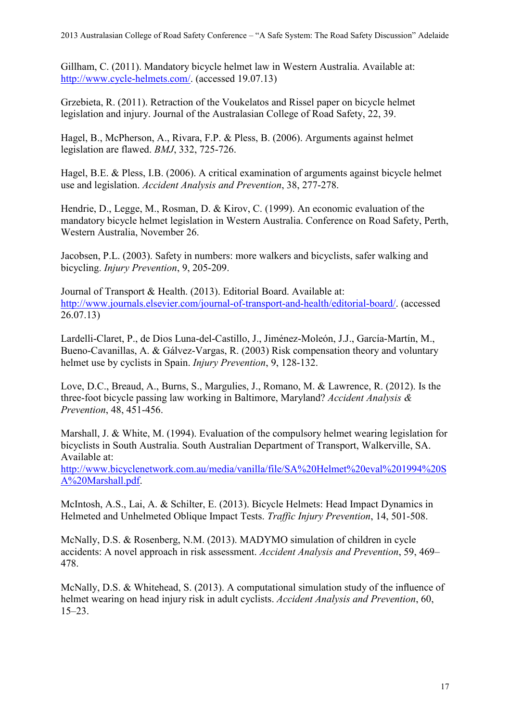Gillham, C. (2011). Mandatory bicycle helmet law in Western Australia. Available at: [http://www.cycle-helmets.com/.](http://www.cycle-helmets.com/) (accessed 19.07.13)

Grzebieta, R. (2011). Retraction of the Voukelatos and Rissel paper on bicycle helmet legislation and injury. Journal of the Australasian College of Road Safety, 22, 39.

Hagel, B., McPherson, A., Rivara, F.P. & Pless, B. (2006). Arguments against helmet legislation are flawed. *BMJ*, 332, 725-726.

Hagel, B.E. & Pless, I.B. (2006). A critical examination of arguments against bicycle helmet use and legislation. *Accident Analysis and Prevention*, 38, 277-278.

Hendrie, D., Legge, M., Rosman, D. & Kirov, C. (1999). An economic evaluation of the mandatory bicycle helmet legislation in Western Australia. Conference on Road Safety, Perth, Western Australia, November 26.

Jacobsen, P.L. (2003). Safety in numbers: more walkers and bicyclists, safer walking and bicycling. *Injury Prevention*, 9, 205-209.

Journal of Transport & Health. (2013). Editorial Board. Available at: [http://www.journals.elsevier.com/journal-of-transport-and-health/editorial-board/.](http://www.journals.elsevier.com/journal-of-transport-and-health/editorial-board/) (accessed 26.07.13)

Lardelli-Claret, P., de Dios Luna-del-Castillo, J., Jiménez-Moleón, J.J., García-Martín, M., Bueno-Cavanillas, A. & Gálvez-Vargas, R. (2003) Risk compensation theory and voluntary helmet use by cyclists in Spain. *Injury Prevention*, 9, 128-132.

Love, D.C., Breaud, A., Burns, S., Margulies, J., Romano, M. & Lawrence, R. (2012). Is the three-foot bicycle passing law working in Baltimore, Maryland? *Accident Analysis & Prevention*, 48, 451-456.

Marshall, J. & White, M. (1994). Evaluation of the compulsory helmet wearing legislation for bicyclists in South Australia. South Australian Department of Transport, Walkerville, SA. Available at:

[http://www.bicyclenetwork.com.au/media/vanilla/file/SA%20Helmet%20eval%201994%20S](http://www.bicyclenetwork.com.au/media/vanilla/file/SA%20Helmet%20eval%201994%20SA%20Marshall.pdf) [A%20Marshall.pdf.](http://www.bicyclenetwork.com.au/media/vanilla/file/SA%20Helmet%20eval%201994%20SA%20Marshall.pdf)

McIntosh, A.S., Lai, A. & Schilter, E. (2013). Bicycle Helmets: Head Impact Dynamics in Helmeted and Unhelmeted Oblique Impact Tests. *Traffic Injury Prevention*, 14, 501-508.

McNally, D.S. & Rosenberg, N.M. (2013). MADYMO simulation of children in cycle accidents: A novel approach in risk assessment. *Accident Analysis and Prevention*, 59, 469– 478.

McNally, D.S. & Whitehead, S. (2013). A computational simulation study of the influence of helmet wearing on head injury risk in adult cyclists. *Accident Analysis and Prevention*, 60, 15–23.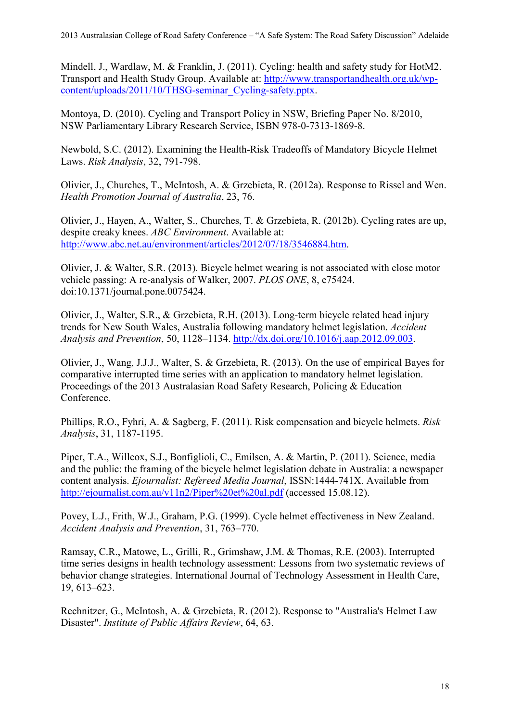Mindell, J., Wardlaw, M. & Franklin, J. (2011). Cycling: health and safety study for HotM2. Transport and Health Study Group. Available at: [http://www.transportandhealth.org.uk/wp](http://www.transportandhealth.org.uk/wp-content/uploads/2011/10/THSG-seminar_Cycling-safety.pptx)[content/uploads/2011/10/THSG-seminar\\_Cycling-safety.pptx.](http://www.transportandhealth.org.uk/wp-content/uploads/2011/10/THSG-seminar_Cycling-safety.pptx)

Montoya, D. (2010). Cycling and Transport Policy in NSW, Briefing Paper No. 8/2010, NSW Parliamentary Library Research Service, ISBN 978-0-7313-1869-8.

Newbold, S.C. (2012). Examining the Health-Risk Tradeoffs of Mandatory Bicycle Helmet Laws. *Risk Analysis*, 32, 791-798.

Olivier, J., Churches, T., McIntosh, A. & Grzebieta, R. (2012a). Response to Rissel and Wen. *Health Promotion Journal of Australia*, 23, 76.

Olivier, J., Hayen, A., Walter, S., Churches, T. & Grzebieta, R. (2012b). Cycling rates are up, despite creaky knees. *ABC Environment*. Available at: [http://www.abc.net.au/environment/articles/2012/07/18/3546884.htm.](http://www.abc.net.au/environment/articles/2012/07/18/3546884.htm)

Olivier, J. & Walter, S.R. (2013). Bicycle helmet wearing is not associated with close motor vehicle passing: A re-analysis of Walker, 2007. *PLOS ONE*, 8, e75424. doi:10.1371/journal.pone.0075424.

Olivier, J., Walter, S.R., & Grzebieta, R.H. (2013). Long-term bicycle related head injury trends for New South Wales, Australia following mandatory helmet legislation. *Accident Analysis and Prevention*, 50, 1128–1134. [http://dx.doi.org/10.1016/j.aap.2012.09.003.](http://dx.doi.org/10.1016/j.aap.2012.09.003)

Olivier, J., Wang, J.J.J., Walter, S. & Grzebieta, R. (2013). On the use of empirical Bayes for comparative interrupted time series with an application to mandatory helmet legislation. Proceedings of the 2013 Australasian Road Safety Research, Policing & Education Conference.

Phillips, R.O., Fyhri, A. & Sagberg, F. (2011). Risk compensation and bicycle helmets. *Risk Analysis*, 31, 1187-1195.

Piper, T.A., Willcox, S.J., Bonfiglioli, C., Emilsen, A. & Martin, P. (2011). Science, media and the public: the framing of the bicycle helmet legislation debate in Australia: a newspaper content analysis. *Ejournalist: Refereed Media Journal*, ISSN:1444-741X. Available from <http://ejournalist.com.au/v11n2/Piper%20et%20al.pdf> (accessed 15.08.12).

Povey, L.J., Frith, W.J., Graham, P.G. (1999). Cycle helmet effectiveness in New Zealand. *Accident Analysis and Prevention*, 31, 763–770.

Ramsay, C.R., Matowe, L., Grilli, R., Grimshaw, J.M. & Thomas, R.E. (2003). Interrupted time series designs in health technology assessment: Lessons from two systematic reviews of behavior change strategies. International Journal of Technology Assessment in Health Care, 19, 613–623.

Rechnitzer, G., McIntosh, A. & Grzebieta, R. (2012). Response to "Australia's Helmet Law Disaster". *Institute of Public Affairs Review*, 64, 63.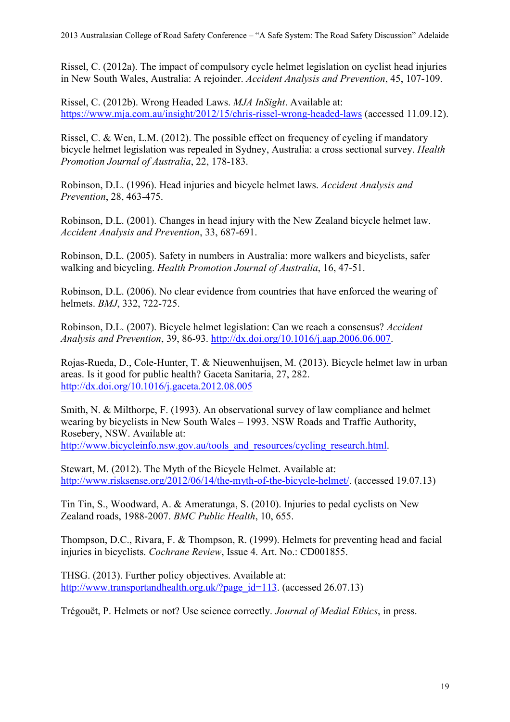Rissel, C. (2012a). The impact of compulsory cycle helmet legislation on cyclist head injuries in New South Wales, Australia: A rejoinder. *Accident Analysis and Prevention*, 45, 107-109.

Rissel, C. (2012b). Wrong Headed Laws. *MJA InSight*. Available at: <https://www.mja.com.au/insight/2012/15/chris-rissel-wrong-headed-laws> (accessed 11.09.12).

Rissel, C. & Wen, L.M. (2012). The possible effect on frequency of cycling if mandatory bicycle helmet legislation was repealed in Sydney, Australia: a cross sectional survey. *Health Promotion Journal of Australia*, 22, 178-183.

Robinson, D.L. (1996). Head injuries and bicycle helmet laws. *Accident Analysis and Prevention*, 28, 463-475.

Robinson, D.L. (2001). Changes in head injury with the New Zealand bicycle helmet law. *Accident Analysis and Prevention*, 33, 687-691.

Robinson, D.L. (2005). Safety in numbers in Australia: more walkers and bicyclists, safer walking and bicycling. *Health Promotion Journal of Australia*, 16, 47-51.

Robinson, D.L. (2006). No clear evidence from countries that have enforced the wearing of helmets. *BMJ*, 332, 722-725.

Robinson, D.L. (2007). Bicycle helmet legislation: Can we reach a consensus? *Accident Analysis and Prevention*, 39, 86-93. [http://dx.doi.org/10.1016/j.aap.2006.06.007.](http://dx.doi.org/10.1016/j.aap.2006.06.007)

Rojas-Rueda, D., Cole-Hunter, T. & Nieuwenhuijsen, M. (2013). Bicycle helmet law in urban areas. Is it good for public health? Gaceta Sanitaria, 27, 282. <http://dx.doi.org/10.1016/j.gaceta.2012.08.005>

Smith, N. & Milthorpe, F. (1993). An observational survey of law compliance and helmet wearing by bicyclists in New South Wales – 1993. NSW Roads and Traffic Authority, Rosebery, NSW. Available at: [http://www.bicycleinfo.nsw.gov.au/tools\\_and\\_resources/cycling\\_research.html.](http://www.bicycleinfo.nsw.gov.au/tools_and_resources/cycling_research.html)

Stewart, M. (2012). The Myth of the Bicycle Helmet. Available at: [http://www.risksense.org/2012/06/14/the-myth-of-the-bicycle-helmet/.](http://www.risksense.org/2012/06/14/the-myth-of-the-bicycle-helmet/) (accessed 19.07.13)

Tin Tin, S., Woodward, A. & Ameratunga, S. (2010). Injuries to pedal cyclists on New Zealand roads, 1988-2007. *BMC Public Health*, 10, 655.

Thompson, D.C., Rivara, F. & Thompson, R. (1999). Helmets for preventing head and facial injuries in bicyclists. *Cochrane Review*, Issue 4. Art. No.: CD001855.

THSG. (2013). Further policy objectives. Available at: [http://www.transportandhealth.org.uk/?page\\_id=113.](http://www.transportandhealth.org.uk/?page_id=113) (accessed 26.07.13)

Trégouët, P. Helmets or not? Use science correctly. *Journal of Medial Ethics*, in press.